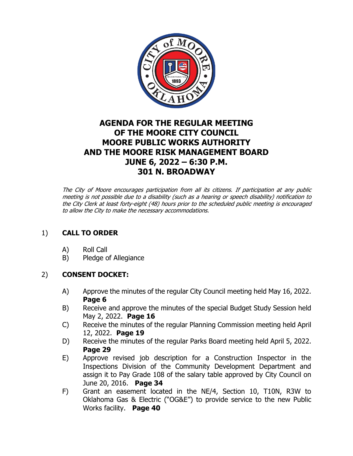

# **AGENDA FOR THE REGULAR MEETING OF THE MOORE CITY COUNCIL MOORE PUBLIC WORKS AUTHORITY AND THE MOORE RISK MANAGEMENT BOARD JUNE 6, 2022 – 6:30 P.M. 301 N. BROADWAY**

The City of Moore encourages participation from all its citizens. If participation at any public meeting is not possible due to a disability (such as a hearing or speech disability) notification to the City Clerk at least forty-eight (48) hours prior to the scheduled public meeting is encouraged to allow the City to make the necessary accommodations.

## 1) **CALL TO ORDER**

- A) Roll Call
- B) Pledge of Allegiance

## 2) **CONSENT DOCKET:**

- A) Approve the minutes of the regular City Council meeting held May 16, 2022. **Page 6**
- B) Receive and approve the minutes of the special Budget Study Session held May 2, 2022. **Page 16**
- C) Receive the minutes of the regular Planning Commission meeting held April 12, 2022. **Page 19**
- D) Receive the minutes of the regular Parks Board meeting held April 5, 2022. **Page 29**
- E) Approve revised job description for a Construction Inspector in the Inspections Division of the Community Development Department and assign it to Pay Grade 108 of the salary table approved by City Council on June 20, 2016. **Page 34**
- F) Grant an easement located in the NE/4, Section 10, T10N, R3W to Oklahoma Gas & Electric ("OG&E") to provide service to the new Public Works facility. **Page 40**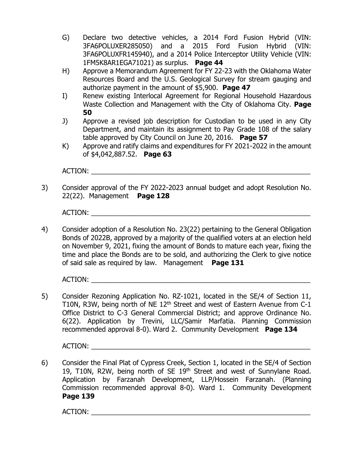- G) Declare two detective vehicles, a 2014 Ford Fusion Hybrid (VIN: 3FA6POLUXER285050) and a 2015 Ford Fusion Hybrid (VIN: 3FA6POLUXFR145940), and a 2014 Police Interceptor Utility Vehicle (VIN: 1FM5K8AR1EGA71021) as surplus. **Page 44**
- H) Approve a Memorandum Agreement for FY 22-23 with the Oklahoma Water Resources Board and the U.S. Geological Survey for stream gauging and authorize payment in the amount of \$5,900. **Page 47**
- I) Renew existing Interlocal Agreement for Regional Household Hazardous Waste Collection and Management with the City of Oklahoma City. **Page 50**
- J) Approve a revised job description for Custodian to be used in any City Department, and maintain its assignment to Pay Grade 108 of the salary table approved by City Council on June 20, 2016. **Page 57**
- K) Approve and ratify claims and expenditures for FY 2021-2022 in the amount of \$4,042,887.52. **Page 63**

ACTION:

3) Consider approval of the FY 2022-2023 annual budget and adopt Resolution No. 22(22). Management **Page 128**

ACTION:

4) Consider adoption of a Resolution No. 23(22) pertaining to the General Obligation Bonds of 2022B, approved by a majority of the qualified voters at an election held on November 9, 2021, fixing the amount of Bonds to mature each year, fixing the time and place the Bonds are to be sold, and authorizing the Clerk to give notice of said sale as required by law. Management **Page 131**

ACTION: \_\_\_\_\_\_\_\_\_\_\_\_\_\_\_\_\_\_\_\_\_\_\_\_\_\_\_\_\_\_\_\_\_\_\_\_\_\_\_\_\_\_\_\_\_\_\_\_\_\_\_\_\_\_\_\_\_\_

5) Consider Rezoning Application No. RZ-1021, located in the SE/4 of Section 11, T10N, R3W, being north of NE 12<sup>th</sup> Street and west of Eastern Avenue from C-1 Office District to C-3 General Commercial District; and approve Ordinance No. 6(22). Application by Trevini, LLC/Samir Marfatia. Planning Commission recommended approval 8-0). Ward 2. Community Development **Page 134**

ACTION:

6) Consider the Final Plat of Cypress Creek, Section 1, located in the SE/4 of Section 19, T10N, R2W, being north of SE 19<sup>th</sup> Street and west of Sunnylane Road. Application by Farzanah Development, LLP/Hossein Farzanah. (Planning Commission recommended approval 8-0). Ward 1. Community Development **Page 139**

ACTION: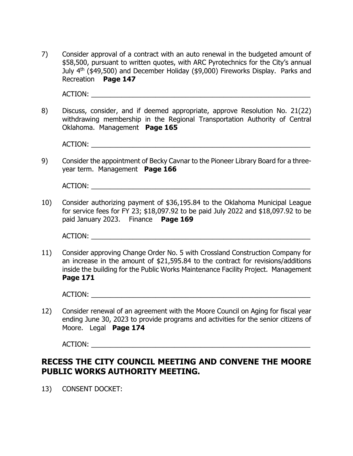7) Consider approval of a contract with an auto renewal in the budgeted amount of \$58,500, pursuant to written quotes, with ARC Pyrotechnics for the City's annual July 4<sup>th</sup> (\$49,500) and December Holiday (\$9,000) Fireworks Display. Parks and Recreation **Page 147**

ACTION:

8) Discuss, consider, and if deemed appropriate, approve Resolution No. 21(22) withdrawing membership in the Regional Transportation Authority of Central Oklahoma. Management **Page 165**

ACTION: \_\_\_\_\_\_\_\_\_\_\_\_\_\_\_\_\_\_\_\_\_\_\_\_\_\_\_\_\_\_\_\_\_\_\_\_\_\_\_\_\_\_\_\_\_\_\_\_\_\_\_\_\_\_\_\_\_\_

9) Consider the appointment of Becky Cavnar to the Pioneer Library Board for a threeyear term. Management **Page 166**

ACTION:

10) Consider authorizing payment of \$36,195.84 to the Oklahoma Municipal League for service fees for FY 23; \$18,097.92 to be paid July 2022 and \$18,097.92 to be paid January 2023. Finance **Page 169**

ACTION:

11) Consider approving Change Order No. 5 with Crossland Construction Company for an increase in the amount of \$21,595.84 to the contract for revisions/additions inside the building for the Public Works Maintenance Facility Project. Management **Page 171**

ACTION:

12) Consider renewal of an agreement with the Moore Council on Aging for fiscal year ending June 30, 2023 to provide programs and activities for the senior citizens of Moore. Legal **Page 174**

ACTION:

## **RECESS THE CITY COUNCIL MEETING AND CONVENE THE MOORE PUBLIC WORKS AUTHORITY MEETING.**

13) CONSENT DOCKET: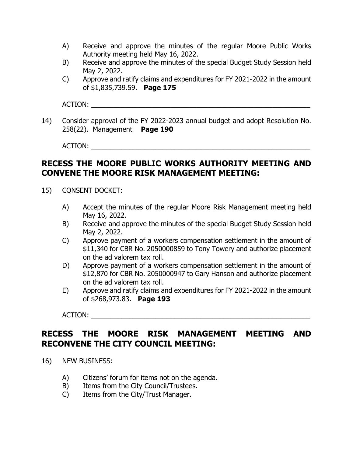- A) Receive and approve the minutes of the regular Moore Public Works Authority meeting held May 16, 2022.
- B) Receive and approve the minutes of the special Budget Study Session held May 2, 2022.
- C) Approve and ratify claims and expenditures for FY 2021-2022 in the amount of \$1,835,739.59. **Page 175**

ACTION:

14) Consider approval of the FY 2022-2023 annual budget and adopt Resolution No. 258(22). Management **Page 190**

ACTION: \_\_\_\_\_\_\_\_\_\_\_\_\_\_\_\_\_\_\_\_\_\_\_\_\_\_\_\_\_\_\_\_\_\_\_\_\_\_\_\_\_\_\_\_\_\_\_\_\_\_\_\_\_\_\_\_\_\_

# **RECESS THE MOORE PUBLIC WORKS AUTHORITY MEETING AND CONVENE THE MOORE RISK MANAGEMENT MEETING:**

- 15) CONSENT DOCKET:
	- A) Accept the minutes of the regular Moore Risk Management meeting held May 16, 2022.
	- B) Receive and approve the minutes of the special Budget Study Session held May 2, 2022.
	- C) Approve payment of a workers compensation settlement in the amount of \$11,340 for CBR No. 2050000859 to Tony Towery and authorize placement on the ad valorem tax roll.
	- D) Approve payment of a workers compensation settlement in the amount of \$12,870 for CBR No. 2050000947 to Gary Hanson and authorize placement on the ad valorem tax roll.
	- E) Approve and ratify claims and expenditures for FY 2021-2022 in the amount of \$268,973.83. **Page 193**

ACTION: \_\_\_\_\_\_\_\_\_\_\_\_\_\_\_\_\_\_\_\_\_\_\_\_\_\_\_\_\_\_\_\_\_\_\_\_\_\_\_\_\_\_\_\_\_\_\_\_\_\_\_\_\_\_\_\_\_\_

# **RECESS THE MOORE RISK MANAGEMENT MEETING AND RECONVENE THE CITY COUNCIL MEETING:**

- 16) NEW BUSINESS:
	- A) Citizens' forum for items not on the agenda.
	- B) Items from the City Council/Trustees.
	- C) Items from the City/Trust Manager.